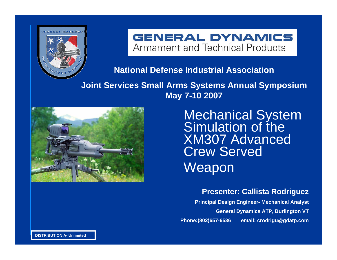

**GENERAL DYNAMICS** Armament and Technical Products

**National Defense Industrial Association**

**Joint Services Small Arms Systems Annual Symposium May 7-10 2007**



Mechanical System<br>Simulation of the XM307 Advanced Crew Served Weapon

**Presenter: Callista Rodriguez**

**Principal Design Engineer- Mechanical Analyst General Dynamics ATP, Burlington VT Phone:(802)657-6536 email: crodrigu@gdatp.com**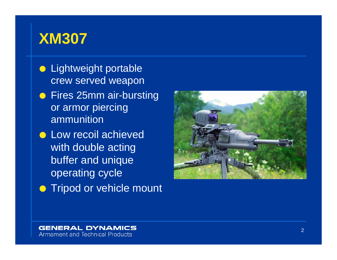### **XM307**

- **Lightweight portable** crew served weapon **•** Fires 25mm air-bursting or armor piercing ammunition
- **Low recoil achieved** with double acting buffer and unique operating cycle
- **Tripod or vehicle mount**

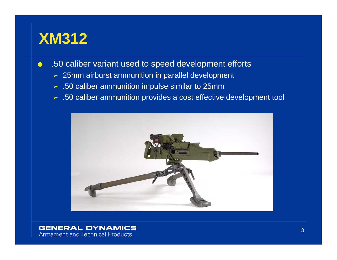### **XM312**

- $\bullet$  .50 caliber variant used to speed development efforts
	- $\geq 25$ mm airburst ammunition in parallel development
	- $\blacktriangleright$  .50 caliber ammunition impulse similar to 25mm
	- ³ .50 caliber ammunition provides a cost effective development tool

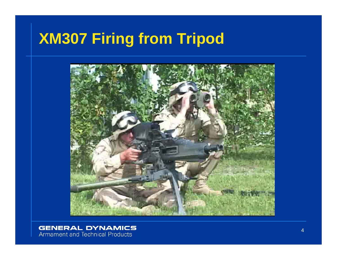# **XM307 Firing from Tripod**

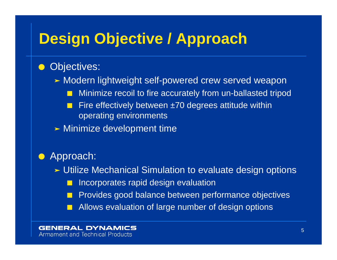## **Design Objective / Approach**

#### OObjectives:

- > Modern lightweight self-powered crew served weapon
	- QMinimize recoil to fire accurately from un-ballasted tripod
	- $\blacksquare$  Fire effectively between ±70 degrees attitude within operating environments
- > Minimize development time

#### OApproach:

- $\blacktriangleright$  Utilize Mechanical Simulation to evaluate design options
	- $\blacksquare$ Incorporates rapid design evaluation
	- Provides good balance between performance objectives
	- Allows evaluation of large number of design options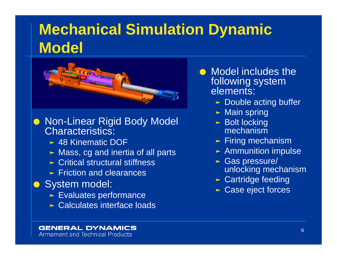# **Mechanical Simulation Dynamic Model**



● Non-Linear Rigid Body Model Characteristics:

- ³ 48 Kinematic DOF
- $\blacktriangleright$  Mass, cg and inertia of all parts
- $\triangleright$  Critical structural stiffness
- $\blacktriangleright$  Friction and clearances
- **O** System model:
	- $\blacktriangleright$  Evaluates performance
	- $\triangleright$  Calculates interface loads
- **•** Model includes the following system elements:
	- $\blacktriangleright$  Double acting buffer
	- > Main spring
	- $\blacktriangleright$  Bolt locking mechanism
	- $\blacktriangleright$  Firing mechanism
	- > Ammunition impulse
	- $\blacktriangleright$  Gas pressure/ unlocking mechanism
	- $\blacktriangleright$  Cartridge feeding
	- > Case eject forces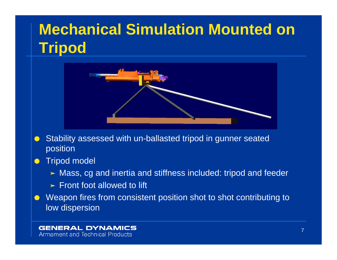# **Mechanical Simulation Mounted on Tripod**



- O Stability assessed with un-ballasted tripod in gunner seated position
- O Tripod model
	- $\blacktriangleright$  Mass, cg and inertia and stiffness included: tripod and feeder
	- $\blacktriangleright$  Front foot allowed to lift
- O Weapon fires from consistent position shot to shot contributing to low dispersion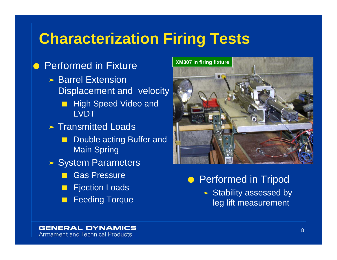## **Characterization Firing Tests**

### **• Performed in Fixture**

- $\triangleright$  Barrel Extension Displacement and velocity  $\blacksquare$  High Speed Video and LVDT**> Transmitted Loads** Q Double acting Buffer and
	- Main Spring
- > System Parameters
	- QGas Pressure
	- $\blacksquare$ Ejection Loads
	- QFeeding Torque



**• Performed in Tripod** 

 $\blacktriangleright$  Stability assessed by leg lift measurement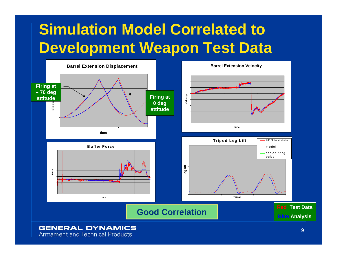# **Simulation Model Correlated to Development Weapon Test Data**



### **GENERAL DYNAMICS**

**Armament and Technical Products**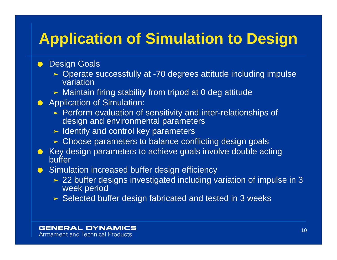## **Application of Simulation to Design**

#### $\bullet$ Design Goals

- ³ Operate successfully at -70 degrees attitude including impulse variation
- > Maintain firing stability from tripod at 0 deg attitude
- **•** Application of Simulation:
	- $\blacktriangleright$  Perform evaluation of sensitivity and inter-relationships of design and environmental parameters
	- $\blacktriangleright$  Identify and control key parameters
	- ³ Choose parameters to balance conflicting design goals
- $\bullet~$  Key design parameters to achieve goals involve double acting buffer
- **Simulation increased buffer design efficiency** 
	- $\geq$  22 buffer designs investigated including variation of impulse in 3 week period
	- > Selected buffer design fabricated and tested in 3 weeks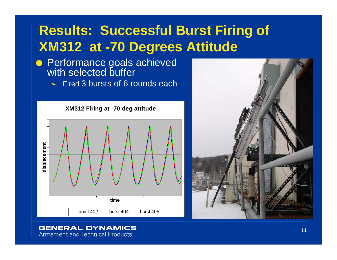### **Results: Successful Burst Firing of XM312 at -70 Degrees Attitude**

- **Performance goals achieved** with selected buffer
	- $\blacktriangleright$  Fired 3 bursts of 6 rounds each